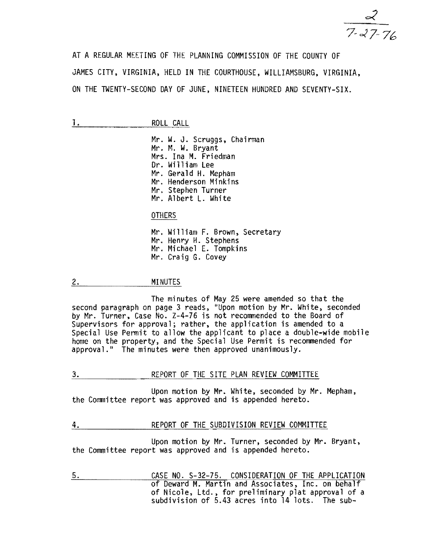$\frac{8}{7.27.76}$ 

AT A REGULAR MEETING OF THE PLANNING COMMISSION OF THE COUNTY OF JAMES CITY, VIRGINIA, HELD IN THE COURTHOUSE. WILLIAMSBURG, VIRGINIA, ON THE TWENTY-SECOND DAY OF JUNE, NINETEEN HUNDRED AND SEVENTY-SIX.

1. ROLL CALL

Mr. W. J. Scruggs, Chairman Mr. M. W. Bryant Mrs. Ina M. Friedman Dr. William Lee Mr. Henderson Minkins Mr. Stephen Turner Mr. Albert L. White

OTHERS

Mr. William F. Brown, Secretary Mr. Henry H. Stephens Mr. Michael E. Tompkins Mr. Craig G. Covey

2. MINUTES

The minutes of May 25 were amended so that the second paragraph on page 3 reads, "Upon motion by Mr. White, seconded by Mr. Turner, Case No. Z-4-76 is not recommended to the Board of Supervisors for approval; rather, the application is amended to a Special Use Permit to allow the applicant to place a double-wide mobile home on the property, and the Special Use Permit is recommended for approval." The minutes were then approved unanimously.

3. REPORT OF THE SITE PLAN REVIEW COMMITTEE

Upon motion by Mr. White, seconded by Mr. Mepham, the Committee report was approved and is appended hereto.

4. REPORT OF THE SUBDIVISION REVIEW COMMITTEE

Upon motion by Mr. Turner, seconded by Mr. Bryant, the Committee report was approved and is appended hereto.

5. CASE NO. 5-32-75. CONSIDERATION OF THE APPLICATION of Deward M. Martin and Associates, Inc. on behalf of Nicole, Ltd., for preliminary plat approval of a subdivision of 5.43 acres into 14 lots. The sub-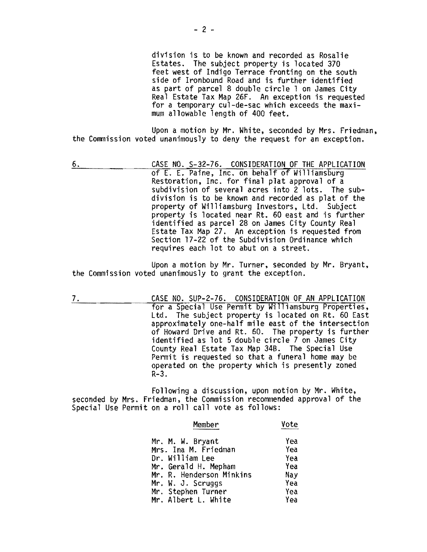division is to be known and recorded as Rosalie Estates. The subject property is located 370 feet west of Indigo Terrace fronting on the south side of Ironbound Road and is further identified as part of parcel 8 double circle 1 on James City Real Estate Tax Map 26F. An exception is requested for a temporary cul-de-sac which exceeds the maximum allowable length of 400 feet.

Upon a motion by Mr. White, seconded by Mrs. Friedman, the Commission voted unanimously to deny the request for an exception.

6. CASE NO. S-32-76. CONSIDERATION OF THE APPLICATION of E. E. Paine, Inc. on behalf of Williamsburg Restoration, Inc. for final plat approval of a subdivision of several acres into 2 lots. The subdivision is to be known and recorded as plat of the property of Williamsburg Investors, Ltd. Subject property is located near Rt. 60 east and is further identified as parcel 28 on James City County Real Estate Tax Map 27. An exception is requested from Section 17-22 of the Subdivision Ordinance which requires each lot to abut on a street.

Upon a motion by Mr. Turner, seconded by Mr. Bryant, the Commission voted unanimously to grant the exception.

7. CASE NO. SUP-2-76. CONSIDERATION OF AN APPLICATION for a Special Use Permit by Williamsburg Properties, Ltd. The subject property is located on Rt. 60 East approximately one-half mile east of the intersection of Howard Drive and Rt. 60. The property is further identified as lot 5 double circle 7 on James City County Real Estate Tax Map 34B. The Special Use Permit is requested so that a funeral home may be operated on the property which is presently zoned R-3.

Following a discussion, upon motion by Mr. White, seconded by Mrs. Friedman, the Commission recommended approval of the Special Use Permit on a roll call vote as follows:

| Member                   | Vote |  |
|--------------------------|------|--|
| Mr. M. W. Bryant         | Yea  |  |
| Mrs. Ina M. Friedman     | Yea  |  |
| Dr. William Lee          | Yea  |  |
| Mr. Gerald H. Mepham     | Yea  |  |
| Mr. R. Henderson Minkins | Nay  |  |
| Mr. W. J. Scruggs        | Yea  |  |
| Mr. Stephen Turner       | Yea  |  |
| Mr. Albert L. White      | Yea  |  |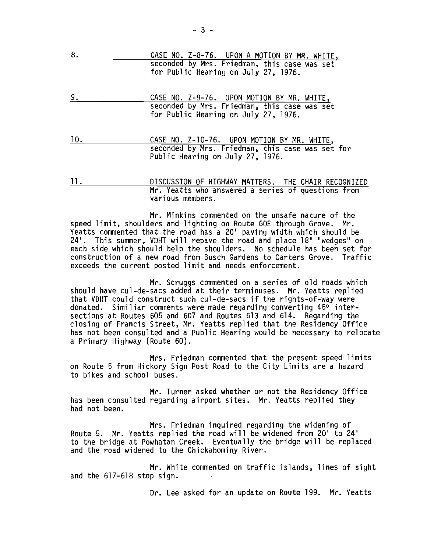| 8. | CASE NO. Z-8-76. UPON A MOTION BY MR. WHITE,                                         |
|----|--------------------------------------------------------------------------------------|
|    | seconded by Mrs. Friedman, this case was set<br>for Public Hearing on July 27, 1976. |
| q  | CASE NO. 7-9-76. HPON MOTION RV MR. WHITE                                            |

- 9. CASE NO. Z-9-76. UPON MOTION BY MR. WHITE, seconded by Mrs. Friedman, this case was set for Public Hearing on July 27, 1976.
- 10. CASE NO. Z-10-76. UPON MOTION BY MR. WHITE, seconded by Mrs. Friedman, this case was set for Public Hearing on July 27, 1976.
- **11.**  DISCUSSION OF HIGHWAY MATTERS. THE CHAIR RECOGNIZED Mr. Yeatts who answered a series of questions from various members.

Mr. Minkins commented on the unsafe nature of the speed limit, shoulders and lighting on Route 60E through Grove. Mr. Yeatts commented that the road has a 20' paving width which should be 24'. This summer, VDHT will repave the road and place 18" "wedges" on each side which should help the shoulders. No schedule has been set for construction of a new road from Busch Gardens to Carters Grove. Traffic exceeds the current posted limit and needs enforcement.

Mr. Scruggs commented on a series of old roads which should have cul-de-sacs added at their terminuses. Mr. Yeatts replied that VDHT could construct such cul-de-sacs if the rights-of-way were donated. Similiar comments were made regarding converting 45° intersections at Routes 605 and 607 and Routes 613 and 614. Regarding the closing of Francis Street, Mr. Yeatts replied that the Residency Office has not been consulted and a Public Hearing would be necessary to relocate a Primary Highway (Route 60).

Mrs. Friedman commented that the present speed limits on Route 5 from Hickory Sign Post Road to the City Limits are a hazard to bikes and school buses.

Mr. Turner asked whether or not the Residency Office has been consulted regarding airport sites. Mr. Yeatts replied they had not been.

Mrs. Friedman inquired regarding the widening of Route 5. Mr. Yeatts replied the road will be widened from 20' to 24' to the bridge at Powhatan Creek. Eventually the bridge will be replaced and the road widened to the Chickahominy River.

Mr. White commented on traffic islands, lines of sight and the 617-618 stop sign.

Dr. Lee asked for an update on Route 199. Mr. Yeatts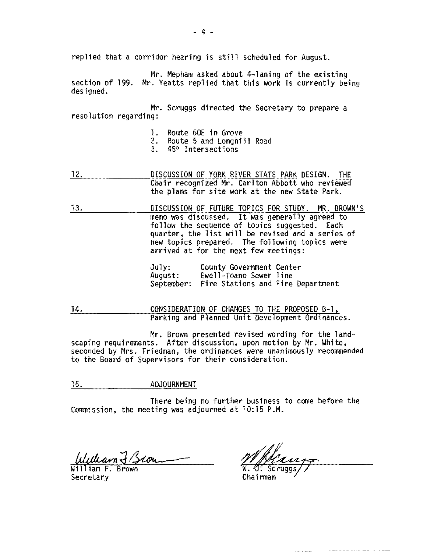replied that a corridor hearing is still scheduled for August.

Mr. Mepham asked about 4-laning of the existing<br>section of 199. Mr. Yeatts replied that this work is currently being<br>designed.

Mr. Scruggs directed the Secretary to prepare a resolution regarding:

- 1. Route 60E in Grove
- 2. Route 5 and Longhi1l Road
- 3. 45° Intersections
- 12. **DISCUSSION OF YORK RIVER STATE PARK DESIGN.** THE Chair recognized Mr. Carlton Abbott who reviewed the plans for site work at the new State Park.
- 13. DISCUSSION OF FUTURE TOPICS FOR STUDY. MR. BROWN'S memo was discussed. It was generally agreed to follow the sequence of topics suggested. Each quarter, the list will be revised and a series of new topics prepared. The following topics were arrived at for the next few meetings:

| $J$ uly:   | County Government Center          |  |
|------------|-----------------------------------|--|
| August:    | Ewell-Toano Sewer line            |  |
| September: | Fire Stations and Fire Department |  |

14. **CONSIDERATION OF CHANGES TO THE PROPOSED B-1,** Parking and Planned Unit Development Ordinances.

Mr. Brown presented revised wording for the landscaping requirements. After discussion, upon motion by Mr. White, seconded by Mrs. Friedman, the ordinances were unanimously recommended to the Board of Supervisors for their consideration.

15. **ADJOURNMENT** 

There being no further business to come before the Commission, the meeting was adjourned at 10:15 P.M.

William F. Brown Secretary **Chairman**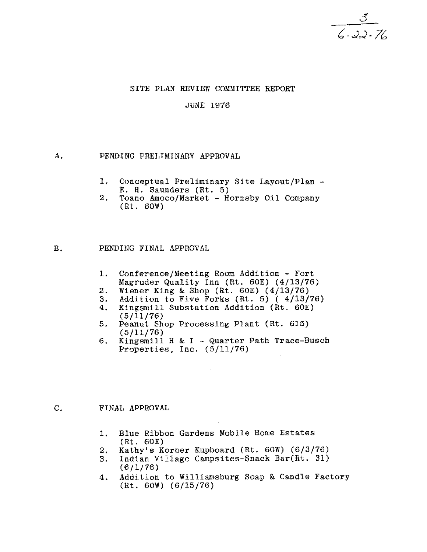### SITE PLAN REVIEW COMMITTEE REPORT

### JUNE 1976

# A. PENDING PRELIMINARY APPROVAL

- 1. Conceptual Preliminary Site Layout/Plan -E. H. Saunders (Rt. 5)
- 2. Toano Amoco/Market Hornsby Oil Company (Rt. 60W)

### B. PENDING FINAL APPROVAL

- 1. Conference/Meeting Room Addition Fort Magruder Quality Inn (Rt. 60E) (4/13/76)
- 2. Wiener King & Shop (Rt. 60E)  $(4/13/76)$ <br>3. Addition to Five Forks (Rt. 5)  $(4/13/76)$
- 3. Addition to Five Forks (Rt. 5) ( 4/13/76)<br>4. Kingsmill Substation Addition (Rt. 60E)
- Kingsmill Substation Addition (Rt. 60E) (5/11/76)
- 5. Peanut Shop Processing Plant (Rt. 615) (5/11/76)
- 6. Kingsmill H & I Quarter Path Trace-Busch Properties, Inc. (5/11/76)

### C. FINAL APPROVAL

- 1. Blue Ribbon Gardens Mobile Home Estates (Rt. 60E)
- 2. Kathy's Korner Kupboard (Rt. 60W) (6/3/76)
- 3. Indian Village Campsites-Snack Bar(Rt. 31) (6/1/76)
- 4. Addition to Williamsburg Soap & Candle Factory (Rt. 60W) (6/15/76)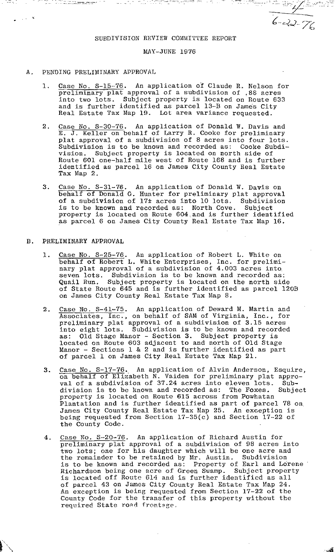$e^{-c}$  $\sim$   $\sim$   $\sim$   $\sim$ 

 $\mathbb{C}^{\mathbb{C}}$  . Then  $\mathbb{C}^{\mathbb{C}}$  is ,  $\mathcal{N}$  in the  $\mathbb{C}^{\mathbb{C}}$ 

#### SUBDIVISION REVIEW COMMITTEE REPORT

್ರಿ ಪ್ರಾಸ್ಕಾರದ ಮಾತ್ರ ಭಾರತೀಯ್ ಬೇಸ್ ಬಂದ್ರ

## MAY-JUNE 1976

## A. PENDING PRELIMINARY APPROVAL

 $\lambda_{\rm max} = 5$ 

- 1. Case No. S-15-76. An application of Claude R. Nelson for preliminary plat approval of a subdivision of .88 acres<br>into two lots. Subject property is located on Route 633<br>and is further identified as parcel 13-B on James City Real Estate Tax Map 19. Lot area variance requested.
- 2. Case No. S-30-76. An application of Donald W. Davis and E. J. Keller on behalf of Larry R. Cooke for preliminary plat approval of a subdivision of 8 acres into four lots. Subdivision is to be known and recorded as: Cooke Subdivision. Subject property is located on north side of Route 601 one-half mile west of Route 168 and *is* further identified as parcel 16 on James City County Real Estate Tax Map 2.
- 3. Case No. S-31-76. An application of Donald W. Davis on behalf of Donald G. Hunter for preliminary plat approval of a subdivision of 17± acres into 10 lots. Subdivision is to be known and recorded as: North Cove. Subject property is located on Route 604.and *is* further identified as parcel 6 on James City County Real Estate Tax Map 16.

### B. PRELIMINARY APPROVAL

- 1. Case No. S-25-76. An application of Robert L. White on behalf of Robert L. White Enterprises, Inc. for prelimi-<br>nary plat approval of a subdivision of 4.003 acres into seven lots. Subdivision is to be known and recorded as: Quail Run. Subject property is located on the north side of State Route 645 and is further identified as parcel 120B on James City County Real Estate Tax Map 8.
- 2. Case No. S-41-75. An application of Deward M. Martin and Associates, Inc., on behalf of SAM of Virginia, Inc., for preliminary plat approval of a subdivision of 3.15 acres into eight lots. Subdivision is to be known and recorded as: Old Stage Manor - Section 3. Subject property is located on Route 603 adjacent to and north of Old Stage Manor - Sections 1 & 2 and is further identified as part manoi - Sections 1 & 2 and 15 further identified a<br>of parcel 1 on James City Real Estate Tax Map 21.
- 3. Case No. S-17-76. An application of Alvin Anderson, Esquire, on behalf of Elizabeth N. Vaiden for preliminary plat approval of a subdivision of 37.24 acres into eleven lots. Subval of a subdivision of 51.24 acres into eleven fors. Sub-<br>division is to be known and recorded as: The Foxes. Subject property is located on Route 615 across from Powhatan Plantation and is further identified as part of parcel 78 on. James City County Real Estate Tax Map 25. An exception is being requested from Section 17-35(c) and Section 17-22 of the County Code.
- 4. Case No. S-20-76. An application of Richard Austin for preliminary plat approval of a subdivision of 98 acres into two lots; one for his daughter which will be one acre and the remainder to be retained by Mr. Austin. Subdivision is to be known and recorded as: Property of Earl and Lorene Richardson being one acre of Green Swamp. Subject property is located off Route 614 and is further identified as all of parcel 43 on James City County Real Estate Tax Map 24. An exception is being requested from Section 17-22 of the County Code for the transfer of this property without the required State road frontage.